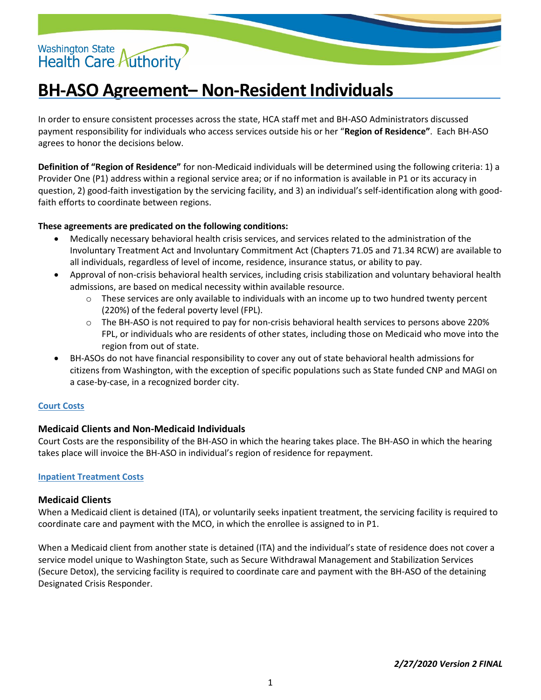# Washington State<br>Health Care Authority

## **BH-ASO Agreement– Non-Resident Individuals**

In order to ensure consistent processes across the state, HCA staff met and BH-ASO Administrators discussed payment responsibility for individuals who access services outside his or her "**Region of Residence"**. Each BH-ASO agrees to honor the decisions below.

**Definition of "Region of Residence"** for non-Medicaid individuals will be determined using the following criteria: 1) a Provider One (P1) address within a regional service area; or if no information is available in P1 or its accuracy in question, 2) good-faith investigation by the servicing facility, and 3) an individual's self-identification along with goodfaith efforts to coordinate between regions.

#### **These agreements are predicated on the following conditions:**

- Medically necessary behavioral health crisis services, and services related to the administration of the Involuntary Treatment Act and Involuntary Commitment Act (Chapters 71.05 and 71.34 RCW) are available to all individuals, regardless of level of income, residence, insurance status, or ability to pay.
- Approval of non-crisis behavioral health services, including crisis stabilization and voluntary behavioral health admissions, are based on medical necessity within available resource.
	- $\circ$  These services are only available to individuals with an income up to two hundred twenty percent (220%) of the federal poverty level (FPL).
	- o The BH-ASO is not required to pay for non-crisis behavioral health services to persons above 220% FPL, or individuals who are residents of other states, including those on Medicaid who move into the region from out of state.
- BH-ASOs do not have financial responsibility to cover any out of state behavioral health admissions for citizens from Washington, with the exception of specific populations such as State funded CNP and MAGI on a case-by-case, in a recognized border city.

#### **Court Costs**

### **Medicaid Clients and Non-Medicaid Individuals**

Court Costs are the responsibility of the BH-ASO in which the hearing takes place. The BH-ASO in which the hearing takes place will invoice the BH-ASO in individual's region of residence for repayment.

#### **Inpatient Treatment Costs**

#### **Medicaid Clients**

When a Medicaid client is detained (ITA), or voluntarily seeks inpatient treatment, the servicing facility is required to coordinate care and payment with the MCO, in which the enrollee is assigned to in P1.

When a Medicaid client from another state is detained (ITA) and the individual's state of residence does not cover a service model unique to Washington State, such as Secure Withdrawal Management and Stabilization Services (Secure Detox), the servicing facility is required to coordinate care and payment with the BH-ASO of the detaining Designated Crisis Responder.